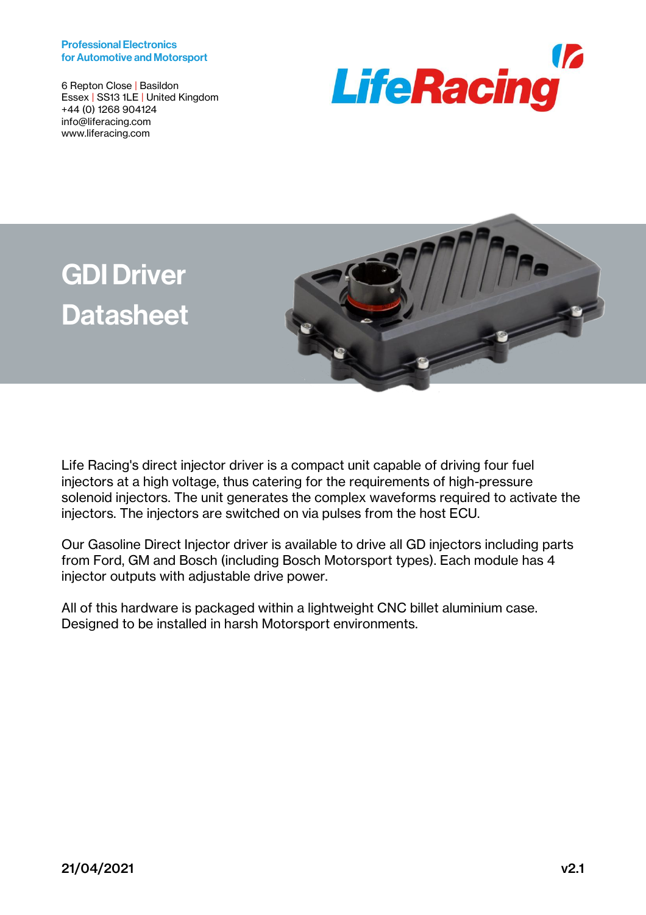#### Professional Electronics for Automotive and Motorsport

6 Repton Close | Basildon Essex | SS13 1LE | United Kingdom +44 (0) 1268 904124 info@liferacing.com www.liferacing.com







Life Racing's direct injector driver is a compact unit capable of driving four fuel injectors at a high voltage, thus catering for the requirements of high-pressure solenoid injectors. The unit generates the complex waveforms required to activate the injectors. The injectors are switched on via pulses from the host ECU.

Our Gasoline Direct Injector driver is available to drive all GD injectors including parts from Ford, GM and Bosch (including Bosch Motorsport types). Each module has 4 injector outputs with adjustable drive power.

All of this hardware is packaged within a lightweight CNC billet aluminium case. Designed to be installed in harsh Motorsport environments.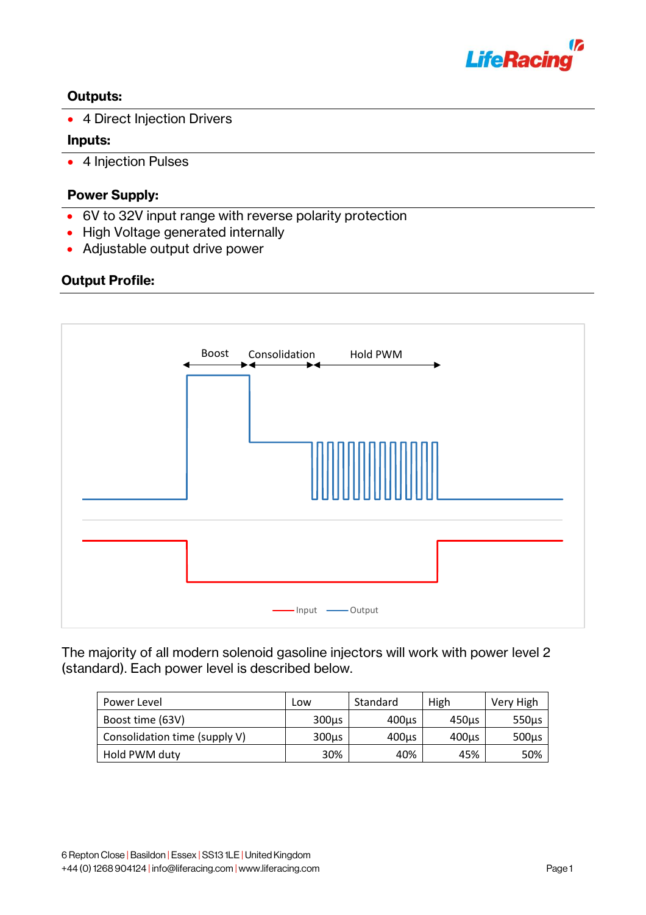

# Outputs:

• 4 Direct Injection Drivers

## Inputs:

• 4 Injection Pulses

# Power Supply:

- 6V to 32V input range with reverse polarity protection
- High Voltage generated internally
- Adjustable output drive power

# Output Profile:



The majority of all modern solenoid gasoline injectors will work with power level 2 (standard). Each power level is described below.

| Power Level                   | Low        | Standard          | High  | Very High  |
|-------------------------------|------------|-------------------|-------|------------|
| Boost time (63V)              | $300\mu s$ | $400\mu s$        | 450µs | $550\mu s$ |
| Consolidation time (supply V) | 300us      | 400 <sub>us</sub> | 400µs | $500\mu s$ |
| Hold PWM duty                 | 30%        | 40%               | 45%   | 50%        |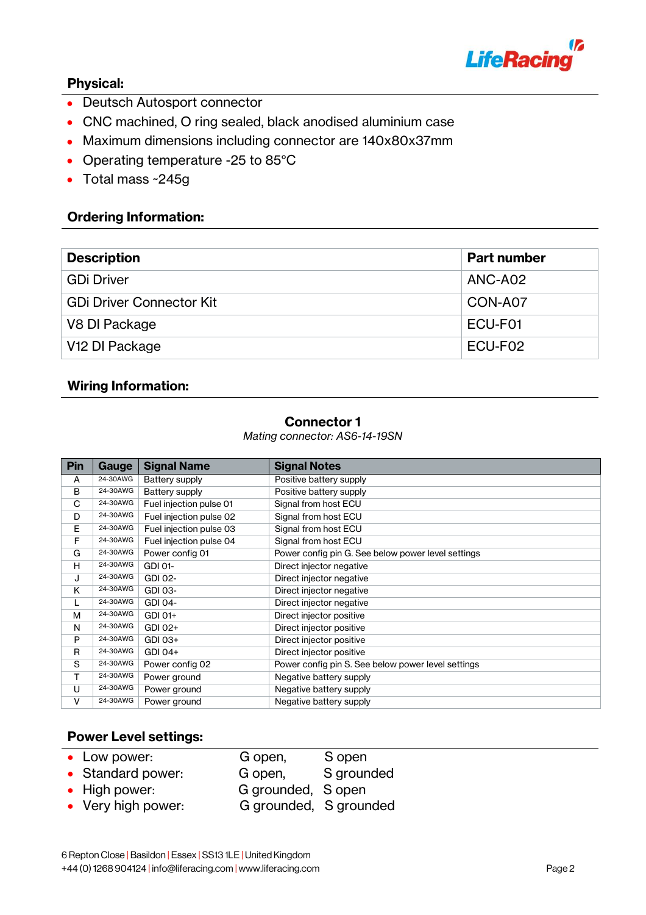

# Physical:

- Deutsch Autosport connector
- CNC machined, O ring sealed, black anodised aluminium case
- Maximum dimensions including connector are 140x80x37mm
- Operating temperature -25 to 85°C
- Total mass ~245g

### Ordering Information:

| <b>Description</b>              | <b>Part number</b> |
|---------------------------------|--------------------|
| <b>GDi Driver</b>               | ANC-A02            |
| <b>GDi Driver Connector Kit</b> | CON-A07            |
| V8 DI Package                   | ECU-F01            |
| V <sub>12</sub> DI Package      | ECU-F02            |
|                                 |                    |

#### Wiring Information:

#### Connector 1

*Mating connector: AS6-14-19SN*

| <b>Pin</b> | Gauge    | <b>Signal Name</b>      | <b>Signal Notes</b>                                |  |
|------------|----------|-------------------------|----------------------------------------------------|--|
| A          | 24-30AWG | Battery supply          | Positive battery supply                            |  |
| B          | 24-30AWG | Battery supply          | Positive battery supply                            |  |
| C          | 24-30AWG | Fuel injection pulse 01 | Signal from host ECU                               |  |
| D          | 24-30AWG | Fuel injection pulse 02 | Signal from host ECU                               |  |
| E          | 24-30AWG | Fuel injection pulse 03 | Signal from host ECU                               |  |
| F          | 24-30AWG | Fuel injection pulse 04 | Signal from host ECU                               |  |
| G          | 24-30AWG | Power config 01         | Power config pin G. See below power level settings |  |
| н          | 24-30AWG | GDI 01-                 | Direct injector negative                           |  |
| J          | 24-30AWG | GDI 02-                 | Direct injector negative                           |  |
| K          | 24-30AWG | GDI 03-                 | Direct injector negative                           |  |
| L          | 24-30AWG | GDI 04-                 | Direct injector negative                           |  |
| М          | 24-30AWG | GDI 01+                 | Direct injector positive                           |  |
| N          | 24-30AWG | GDI 02+                 | Direct injector positive                           |  |
| P          | 24-30AWG | GDI 03+                 | Direct injector positive                           |  |
| R          | 24-30AWG | GDI 04+                 | Direct injector positive                           |  |
| S          | 24-30AWG | Power config 02         | Power config pin S. See below power level settings |  |
| т          | 24-30AWG | Power ground            | Negative battery supply                            |  |
| U          | 24-30AWG | Power ground            | Negative battery supply                            |  |
| V          | 24-30AWG | Power ground            | Negative battery supply                            |  |

# Power Level settings:

| • Low power:       | G open,                | S open     |
|--------------------|------------------------|------------|
| • Standard power:  | G open,                | S grounded |
| • High power:      | G grounded, S open     |            |
| • Very high power: | G grounded, S grounded |            |